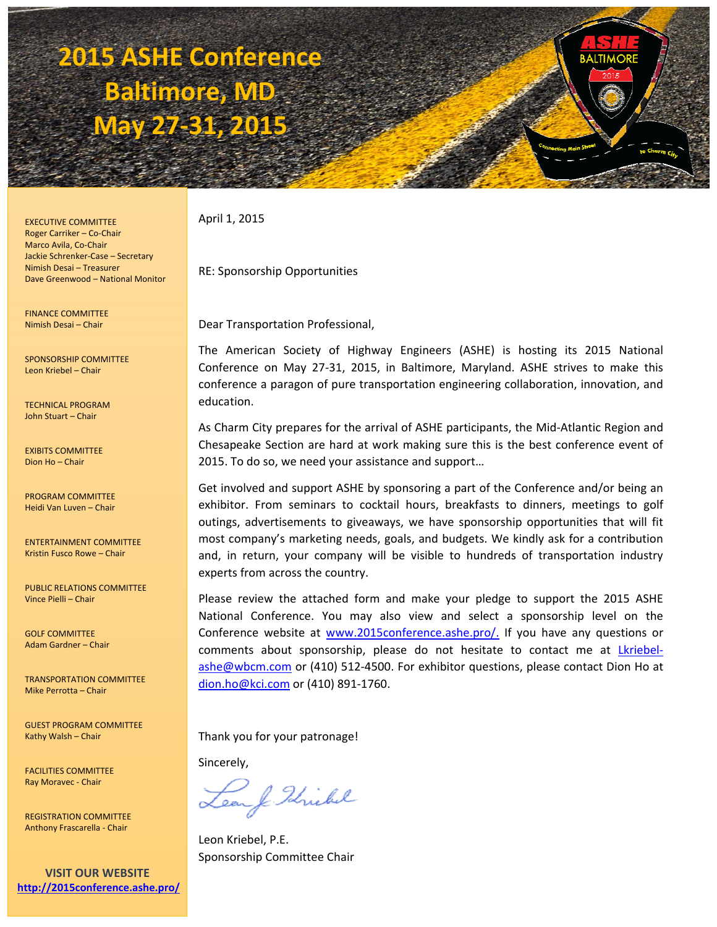# **2015 ASHE Conference Baltimore, MD May 27‐31, 2015**

EXECUTIVE COMMITTEE Roger Carriker – Co‐Chair Marco Avila, Co‐Chair Jackie Schrenker‐Case – Secretary Nimish Desai – Treasurer Dave Greenwood – National Monitor

FINANCE COMMITTEE Nimish Desai – Chair

SPONSORSHIP COMMITTEE Leon Kriebel – Chair

TECHNICAL PROGRAM John Stuart – Chair

EXIBITS COMMITTEE Dion Ho – Chair

PROGRAM COMMITTEE Heidi Van Luven – Chair

ENTERTAINMENT COMMITTEE Kristin Fusco Rowe – Chair

PUBLIC RELATIONS COMMITTEE Vince Pielli – Chair

GOLF COMMITTEE Adam Gardner – Chair

TRANSPORTATION COMMITTEE Mike Perrotta – Chair

GUEST PROGRAM COMMITTEE Kathy Walsh – Chair

FACILITIES COMMITTEE Ray Moravec ‐ Chair

REGISTRATION COMMITTEE Anthony Frascarella ‐ Chair

**VISIT OUR WEBSITE http://2015conference.ashe.pro/** April 1, 2015

RE: Sponsorship Opportunities

Dear Transportation Professional,

The American Society of Highway Engineers (ASHE) is hosting its 2015 National Conference on May 27‐31, 2015, in Baltimore, Maryland. ASHE strives to make this conference a paragon of pure transportation engineering collaboration, innovation, and education.

As Charm City prepares for the arrival of ASHE participants, the Mid‐Atlantic Region and Chesapeake Section are hard at work making sure this is the best conference event of 2015. To do so, we need your assistance and support…

Get involved and support ASHE by sponsoring a part of the Conference and/or being an exhibitor. From seminars to cocktail hours, breakfasts to dinners, meetings to golf outings, advertisements to giveaways, we have sponsorship opportunities that will fit most company's marketing needs, goals, and budgets. We kindly ask for a contribution and, in return, your company will be visible to hundreds of transportation industry experts from across the country.

Please review the attached form and make your pledge to support the 2015 ASHE National Conference. You may also view and select a sponsorship level on the Conference website at www.2015conference.ashe.pro/. If you have any questions or comments about sponsorship, please do not hesitate to contact me at *Lkriebel*ashe@wbcm.com or (410) 512‐4500. For exhibitor questions, please contact Dion Ho at dion.ho@kci.com or (410) 891‐1760.

Thank you for your patronage!

Sincerely,

& Idrichel

Leon Kriebel, P.E. Sponsorship Committee Chair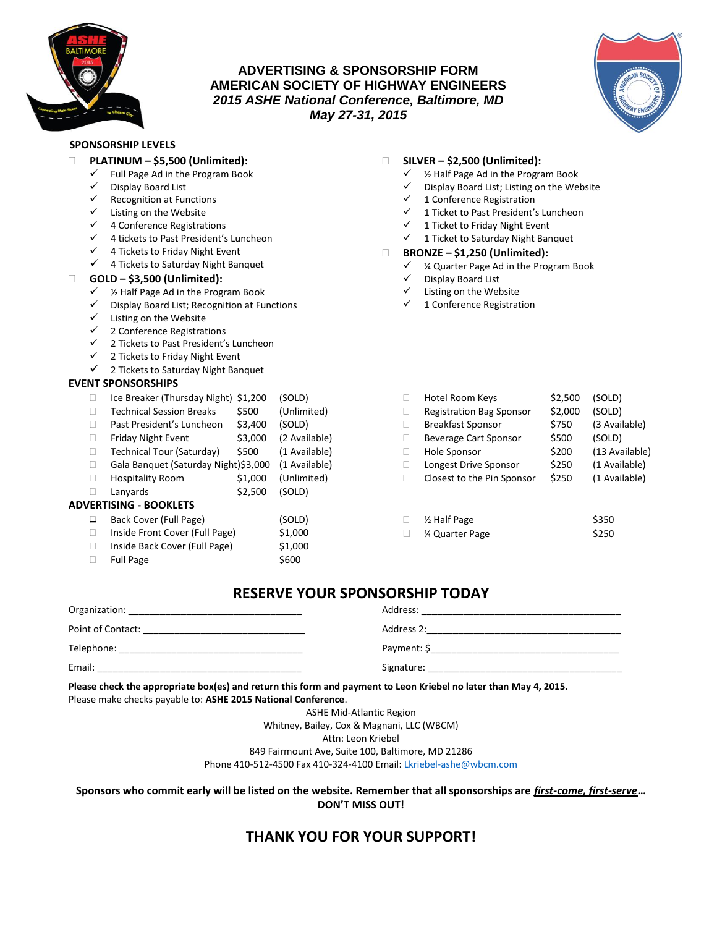

## **ADVERTISING & SPONSORSHIP FORM AMERICAN SOCIETY OF HIGHWAY ENGINEERS** *2015 ASHE National Conference, Baltimore, MD May 27-31, 2015*



#### **SPONSORSHIP LEVELS**

 **PLATINUM – \$5,500 (Unlimited):** Full Page Ad in the Program Book Display Board List  $\checkmark$  Recognition at Functions  $\checkmark$  Listing on the Website  $\checkmark$  4 Conference Registrations  $4$  tickets to Past President's Luncheon  $\checkmark$  4 Tickets to Friday Night Event  $\checkmark$  4 Tickets to Saturday Night Banquet **GOLD – \$3,500 (Unlimited):**  $\checkmark$  % Half Page Ad in the Program Book Display Board List; Recognition at Functions  $\checkmark$  Listing on the Website  $\checkmark$  2 Conference Registrations  $\checkmark$  2 Tickets to Past President's Luncheon  $\checkmark$  2 Tickets to Friday Night Event  $\checkmark$  2 Tickets to Saturday Night Banquet  $\checkmark$  % Half Page Ad in the Program Book<br> $\checkmark$  Display Board List; Listing on the We  $\checkmark$  1 Conference Registration  $\checkmark$  1 Ticket to Friday Night Event  $\checkmark$  1 Ticket to Saturday Night Banquet **BRONZE – \$1,250 (Unlimited):** Display Board List Listing on the Website 1 Conference Registration **EVENT SPONSORSHIPS** □ Ice Breaker (Thursday Night) \$1,200 (SOLD) □ Technical Session Breaks \$500 (Unlimited) □ Past President's Luncheon \$3,400 (SOLD)  $\Box$  Friday Night Event  $$3,000$  (2 Available) □ Technical Tour (Saturday) \$500 (1 Available) □ Gala Banquet (Saturday Night)\$3,000 (1 Available) □ Hospitality Room \$1,000 (Unlimited)  $\Box$  Lanyards  $\angle$  \$2,500 (SOLD) **ADVERTISING - BOOKLETS** Back Cover (Full Page) (SOLD) □ Inside Front Cover (Full Page) \$1,000 □ Inside Back Cover (Full Page) \$1,000  $\Box$  Full Page  $\angle$  \$600

## **RESERVE YOUR SPONSORSHIP TODAY**

| Organization:     | Address:    |
|-------------------|-------------|
| Point of Contact: | Address 2:  |
| Telephone:        | Payment: \$ |
| Email:            | Signature:  |

**Please check the appropriate box(es) and return this form and payment to Leon Kriebel no later than May 4, 2015.** Please make checks payable to: **ASHE 2015 National Conference**.

ASHE Mid-Atlantic Region

Whitney, Bailey, Cox & Magnani, LLC (WBCM)

Attn: Leon Kriebel

849 Fairmount Ave, Suite 100, Baltimore, MD 21286

Phone 410-512-4500 Fax 410-324-4100 Email[: Lkriebel-ashe@wbcm.com](mailto:Lkriebel-ashe@wbcm.com)

**Sponsors who commit early will be listed on the website. Remember that all sponsorships are** *first-come, first-serve***… DON'T MISS OUT!**

# **THANK YOU FOR YOUR SUPPORT!**

#### **SILVER – \$2,500 (Unlimited):**

- 
- Display Board List; Listing on the Website
- $\checkmark$  1 Ticket to Past President's Luncheon
- 
- 
- $\checkmark$  % Quarter Page Ad in the Program Book

| П | Hotel Room Keys                 | \$2,500 | (SOLD)         |
|---|---------------------------------|---------|----------------|
| П | <b>Registration Bag Sponsor</b> | \$2,000 | (SOLD)         |
| П | <b>Breakfast Sponsor</b>        | \$750   | (3 Available)  |
| П | <b>Beverage Cart Sponsor</b>    | \$500   | (SOLD)         |
| П | Hole Sponsor                    | \$200   | (13 Available) |
| П | Longest Drive Sponsor           | \$250   | (1 Available)  |
| п | Closest to the Pin Sponsor      | \$250   | (1 Available)  |
|   |                                 |         |                |
|   |                                 |         |                |

| 1/ <sub>2</sub> Half Page | \$350 |
|---------------------------|-------|
| % Quarter Page            | \$250 |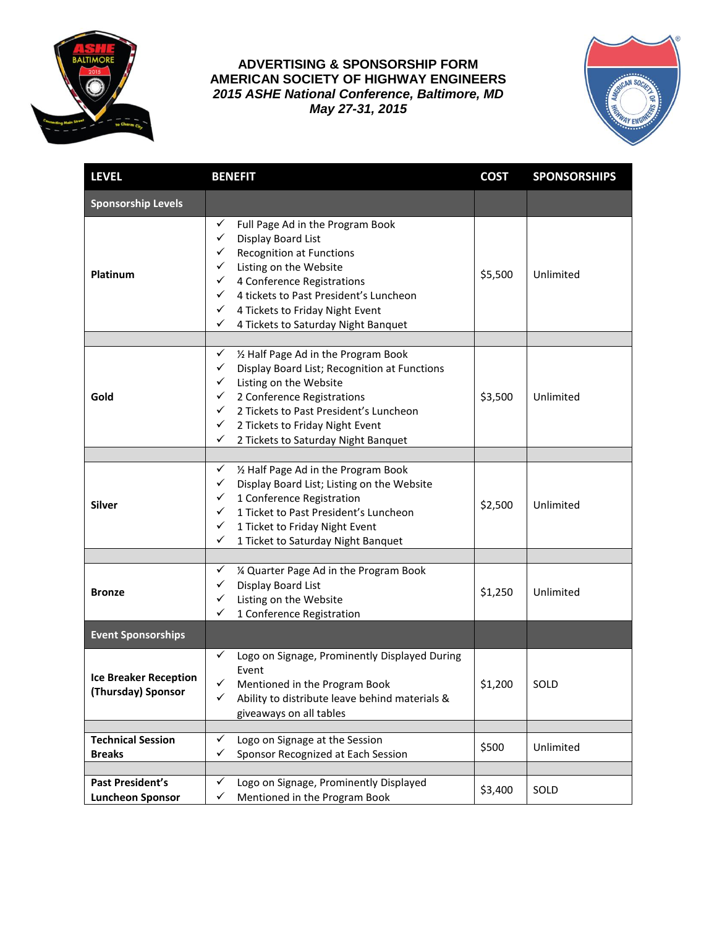

**ADVERTISING & SPONSORSHIP FORM AMERICAN SOCIETY OF HIGHWAY ENGINEERS** *2015 ASHE National Conference, Baltimore, MD May 27-31, 2015*



| <b>LEVEL</b>                                       | <b>BENEFIT</b>                                                                                                                                                                                                                                                                                                                       | <b>COST</b> | <b>SPONSORSHIPS</b> |
|----------------------------------------------------|--------------------------------------------------------------------------------------------------------------------------------------------------------------------------------------------------------------------------------------------------------------------------------------------------------------------------------------|-------------|---------------------|
| <b>Sponsorship Levels</b>                          |                                                                                                                                                                                                                                                                                                                                      |             |                     |
| Platinum                                           | Full Page Ad in the Program Book<br>✓<br>✓<br>Display Board List<br><b>Recognition at Functions</b><br>✓<br>Listing on the Website<br>✓<br>4 Conference Registrations<br>$\checkmark$<br>4 tickets to Past President's Luncheon<br>✓<br>✓<br>4 Tickets to Friday Night Event<br>✓<br>4 Tickets to Saturday Night Banquet             | \$5,500     | Unlimited           |
|                                                    |                                                                                                                                                                                                                                                                                                                                      |             |                     |
| Gold                                               | 1/2 Half Page Ad in the Program Book<br>$\checkmark$<br>✓<br>Display Board List; Recognition at Functions<br>Listing on the Website<br>✓<br>2 Conference Registrations<br>✓<br>2 Tickets to Past President's Luncheon<br>$\checkmark$<br>✓<br>2 Tickets to Friday Night Event<br>$\checkmark$<br>2 Tickets to Saturday Night Banquet | \$3,500     | Unlimited           |
|                                                    |                                                                                                                                                                                                                                                                                                                                      |             |                     |
| <b>Silver</b>                                      | 1/2 Half Page Ad in the Program Book<br>✓<br>Display Board List; Listing on the Website<br>✓<br>1 Conference Registration<br>✓<br>1 Ticket to Past President's Luncheon<br>✓<br>$\checkmark$<br>1 Ticket to Friday Night Event<br>✓<br>1 Ticket to Saturday Night Banquet                                                            | \$2,500     | Unlimited           |
|                                                    |                                                                                                                                                                                                                                                                                                                                      |             |                     |
| <b>Bronze</b>                                      | ✓<br>1/4 Quarter Page Ad in the Program Book<br>$\checkmark$<br>Display Board List<br>✓<br>Listing on the Website<br>✓<br>1 Conference Registration                                                                                                                                                                                  | \$1,250     | Unlimited           |
| <b>Event Sponsorships</b>                          |                                                                                                                                                                                                                                                                                                                                      |             |                     |
| <b>Ice Breaker Reception</b><br>(Thursday) Sponsor | Logo on Signage, Prominently Displayed During<br>✓<br>Event<br>Mentioned in the Program Book<br>✓<br>Ability to distribute leave behind materials &<br>✓<br>giveaways on all tables                                                                                                                                                  | \$1,200     | SOLD                |
|                                                    |                                                                                                                                                                                                                                                                                                                                      |             |                     |
| <b>Technical Session</b><br><b>Breaks</b>          | Logo on Signage at the Session<br>✓<br>$\checkmark$<br>Sponsor Recognized at Each Session                                                                                                                                                                                                                                            | \$500       | Unlimited           |
|                                                    |                                                                                                                                                                                                                                                                                                                                      |             |                     |
| <b>Past President's</b><br><b>Luncheon Sponsor</b> | Logo on Signage, Prominently Displayed<br>✓<br>Mentioned in the Program Book<br>✓                                                                                                                                                                                                                                                    | \$3,400     | SOLD                |